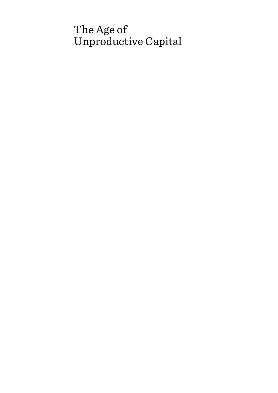# The Age of Unproductive Capital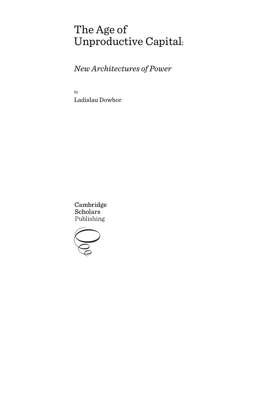# The Age of Unproductive Capital:

*New Architectures of Power*

By Ladislau Dowbor

Cambridge **Scholars** Publishing

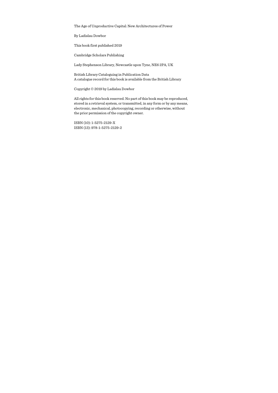The Age of Unproductive Capital: New Architectures of Power

By Ladislau Dowbor

This book first published 2019

Cambridge Scholars Publishing

Lady Stephenson Library, Newcastle upon Tyne, NE6 2PA, UK

British Library Cataloguing in Publication Data A catalogue record for this book is available from the British Library

Copyright © 2019 by Ladislau Dowbor

All rights for this book reserved. No part of this book may be reproduced, stored in a retrieval system, or transmitted, in any form or by any means, electronic, mechanical, photocopying, recording or otherwise, without the prior permission of the copyright owner.

ISBN (10): 1-5275-2129-X ISBN (13): 978-1-5275-2129-2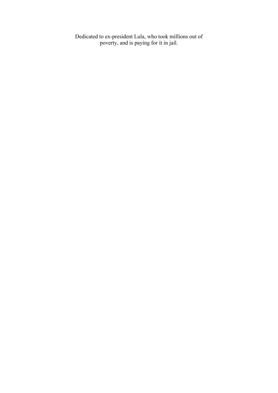Dedicated to ex-president Lula, who took millions out of poverty, and is paying for it in jail.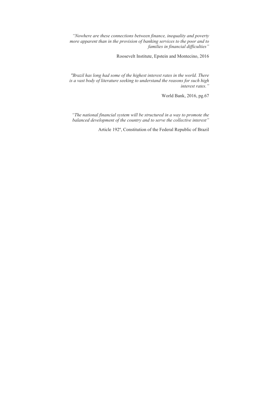*"Nowhere are these connections between finance, inequality and poverty more apparent than in the provision of banking services to the poor and to families in financial difficulties"* 

Roosevelt Institute, Epstein and Montecino, 2016

*"Brazil has long had some of the highest interest rates in the world. There is a vast body of literature seeking to understand the reasons for such high interest rates."* 

World Bank, 2016, pg.67

*"The national financial system will be structured in a way to promote the balanced development of the country and to serve the collective interest"* 

Article 192º, Constitution of the Federal Republic of Brazil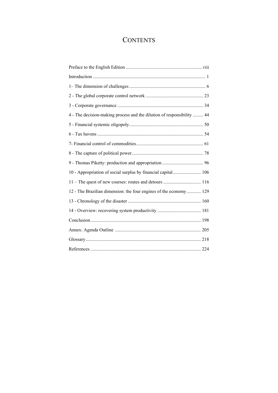## **CONTENTS**

| 4 - The decision-making process and the dilution of responsibility  44 |
|------------------------------------------------------------------------|
|                                                                        |
|                                                                        |
|                                                                        |
|                                                                        |
|                                                                        |
| 10 - Appropriation of social surplus by financial capital 106          |
|                                                                        |
| 12 - The Brazilian dimension: the four engines of the economy 129      |
|                                                                        |
|                                                                        |
|                                                                        |
|                                                                        |
|                                                                        |
|                                                                        |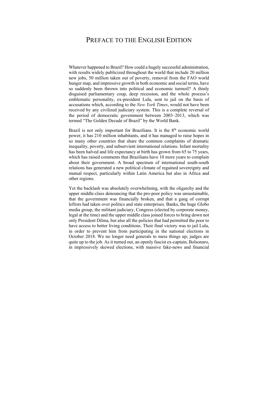## PREFACE TO THE ENGLISH EDITION

Whatever happened to Brazil? How could a hugely successful administration, with results widely publicized throughout the world that include 20 million new jobs, 50 million taken out of poverty, removal from the FAO world hunger map, and impressive growth in both economic and social terms, have so suddenly been thrown into political and economic turmoil? A thinly disguised parliamentary coup, deep recession, and the whole process's emblematic personality, ex-president Lula, sent to jail on the basis of accusations which, according to the *New York Times*, would not have been received by any civilized judiciary system. This is a complete reversal of the period of democratic government between 2003–2013, which was termed "The Golden Decade of Brazil" by the World Bank.

Brazil is not only important for Brazilians. It is the  $8<sup>th</sup>$  economic world power, it has 210 million inhabitants, and it has managed to raise hopes in so many other countries that share the common complaints of dramatic inequality, poverty, and subservient international relations. Infant mortality has been halved and life expectancy at birth has grown from 65 to 75 years, which has raised comments that Brazilians have 10 more years to complain about their government. A broad spectrum of international south-south relations has generated a new political climate of regained sovereignty and mutual respect, particularly within Latin America but also in Africa and other regions.

Yet the backlash was absolutely overwhelming, with the oligarchy and the upper middle-class denouncing that the pro-poor policy was unsustainable, that the government was financially broken, and that a gang of corrupt leftists had taken over politics and state enterprises. Banks, the huge Globo media group, the militant judiciary, Congress (elected by corporate money, legal at the time) and the upper middle class joined forces to bring down not only President Dilma, but also all the policies that had permitted the poor to have access to better living conditions. Their final victory was to jail Lula, in order to prevent him from participating in the national elections in October 2018. We no longer need generals to mess things up; judges are quite up to the job. As it turned out, an openly fascist ex-captain, Bolsonaro, in impressively skewed elections, with massive fake-news and financial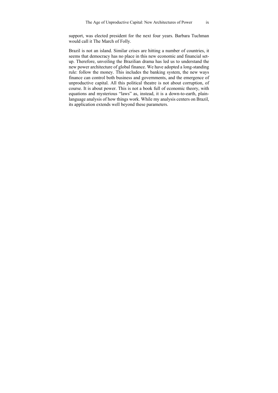support, was elected president for the next four years. Barbara Tuchman would call it The March of Folly.

Brazil is not an island. Similar crises are hitting a number of countries, it seems that democracy has no place in this new economic and financial setup. Therefore, unveiling the Brazilian drama has led us to understand the new power architecture of global finance. We have adopted a long-standing rule: follow the money. This includes the banking system, the new ways finance can control both business and governments, and the emergence of unproductive capital. All this political theatre is not about corruption, of course. It is about power. This is not a book full of economic theory, with equations and mysterious "laws" as, instead, it is a down-to-earth, plainlanguage analysis of how things work. While my analysis centers on Brazil, its application extends well beyond these parameters.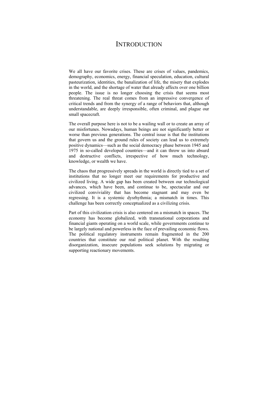## **INTRODUCTION**

We all have our favorite crises. These are crises of values, pandemics, demography, economics, energy, financial speculation, education, cultural pasteurization, identities, the banalization of life, the misery that explodes in the world, and the shortage of water that already affects over one billion people. The issue is no longer choosing the crisis that seems most threatening. The real threat comes from an impressive convergence of critical trends and from the synergy of a range of behaviors that, although understandable, are deeply irresponsible, often criminal, and plague our small spacecraft.

The overall purpose here is not to be a wailing wall or to create an array of our misfortunes. Nowadays, human beings are not significantly better or worse than previous generations. The central issue is that the institutions that govern us and the ground rules of society can lead us to extremely positive dynamics––such as the social democracy phase between 1945 and 1975 in so-called developed countries––and it can throw us into absurd and destructive conflicts, irrespective of how much technology, knowledge, or wealth we have.

The chaos that progressively spreads in the world is directly tied to a set of institutions that no longer meet our requirements for productive and civilized living. A wide gap has been created between our technological advances, which have been, and continue to be, spectacular and our civilized conviviality that has become stagnant and may even be regressing. It is a systemic dysrhythmia; a mismatch in times. This challenge has been correctly conceptualized as a civilizing crisis.

Part of this civilization crisis is also centered on a mismatch in spaces. The economy has become globalized, with transnational corporations and financial giants operating on a world scale, while governments continue to be largely national and powerless in the face of prevailing economic flows. The political regulatory instruments remain fragmented in the 200 countries that constitute our real political planet. With the resulting disorganization, insecure populations seek solutions by migrating or supporting reactionary movements.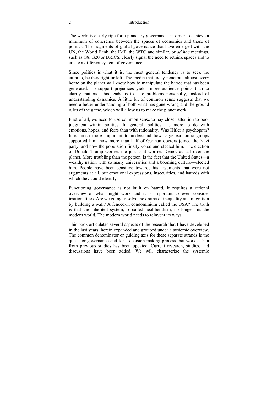#### 2 Introduction

The world is clearly ripe for a planetary governance, in order to achieve a minimum of coherence between the spaces of economics and those of politics. The fragments of global governance that have emerged with the UN, the World Bank, the IMF, the WTO and similar, or *ad hoc* meetings, such as G8, G20 or BRICS, clearly signal the need to rethink spaces and to create a different system of governance.

Since politics is what it is, the most general tendency is to seek the culprits, be they right or left. The media that today penetrate almost every home on the planet will know how to manipulate the hatred that has been generated. To support prejudices yields more audience points than to clarify matters. This leads us to take problems personally, instead of understanding dynamics. A little bit of common sense suggests that we need a better understanding of both what has gone wrong and the ground rules of the game, which will allow us to make the planet work.

First of all, we need to use common sense to pay closer attention to poor judgment within politics. In general, politics has more to do with emotions, hopes, and fears than with rationality. Was Hitler a psychopath? It is much more important to understand how large economic groups supported him, how more than half of German doctors joined the Nazi party, and how the population finally voted and elected him. The election of Donald Trump worries me just as it worries Democrats all over the planet. More troubling than the person, is the fact that the United States––a wealthy nation with so many universities and a booming culture––elected him. People have been sensitive towards his arguments that were not arguments at all, but emotional expressions, insecurities, and hatreds with which they could identify.

Functioning governance is not built on hatred, it requires a rational overview of what might work and it is important to even consider irrationalities. Are we going to solve the drama of inequality and migration by building a wall? A fenced-in condominium called the USA? The truth is that the inherited system, so-called neoliberalism, no longer fits the modern world. The modern world needs to reinvent its ways.

This book articulates several aspects of the research that I have developed in the last years, herein expanded and grouped under a systemic overview. The common denominator or guiding axis for these separate strands is the quest for governance and for a decision-making process that works. Data from previous studies has been updated. Current research, studies, and discussions have been added. We will characterize the systemic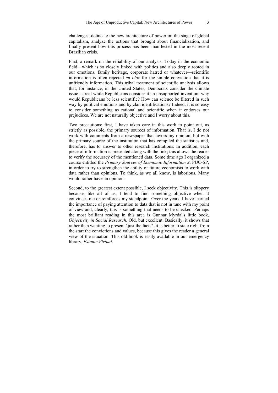challenges, delineate the new architecture of power on the stage of global capitalism, analyze the actions that brought about financialization, and finally present how this process has been manifested in the most recent Brazilian crisis.

First, a remark on the reliability of our analysis. Today in the economic field––which is so closely linked with politics and also deeply rooted in our emotions, family heritage, corporate hatred or whatever––scientific information is often rejected *en bloc* for the simple conviction that it is unfriendly information. This tribal treatment of scientific analysis allows that, for instance, in the United States, Democrats consider the climate issue as real while Republicans consider it an unsupported invention: why would Republicans be less scientific? How can science be filtered in such way by political emotions and by clan identifications? Indeed, it is so easy to consider something as rational and scientific when it endorses our prejudices. We are not naturally objective and I worry about this.

Two precautions: first, I have taken care in this work to point out, as strictly as possible, the primary sources of information. That is, I do not work with comments from a newspaper that favors my opinion, but with the primary source of the institution that has compiled the statistics and, therefore, has to answer to other research institutions. In addition, each piece of information is presented along with the link; this allows the reader to verify the accuracy of the mentioned data. Some time ago I organized a course entitled the *Primary Sources of Economic Information* at PUC-SP, in order to try to strengthen the ability of future economists to work with data rather than opinions. To think, as we all know, is laborious. Many would rather have an opinion.

Second, to the greatest extent possible, I seek objectivity. This is slippery because, like all of us, I tend to find something objective when it convinces me or reinforces my standpoint. Over the years, I have learned the importance of paying attention to data that is not in tune with my point of view and, clearly, this is something that needs to be checked. Perhaps the most brilliant reading in this area is Gunnar Myrdal's little book, *Objectivity in Social Research*. Old, but excellent. Basically, it shows that rather than wanting to present "just the facts", it is better to state right from the start the convictions and values, because this gives the reader a general view of the situation. This old book is easily available in our emergency library, *Estante Virtual*.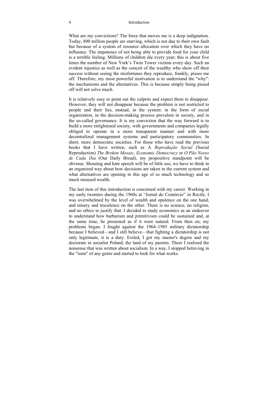#### 4 Introduction

What are my convictions? The force that moves me is a deep indignation. Today, 800 million people are starving, which is not due to their own fault but because of a system of resource allocation over which they have no influence. The impotence of not being able to provide food for your child is a terrible feeling. Millions of children die every year; this is about five times the number of New York's Twin Tower victims every day. Such an evident injustice as well as the conceit of the wealthy who show off their success without seeing the misfortunes they reproduce, frankly, pisses me off. Therefore, my most powerful motivation is to understand the "why": the mechanisms and the alternatives. This is because simply being pissed off will not solve much.

It is relatively easy to point out the culprits and expect them to disappear. However, they will not disappear because the problem is not restricted to people and their lies, instead, in the system: in the form of social organization, in the decision-making process prevalent in society, and in the so-called governance. It is my conviction that the way forward is to build a more enlightened society, with governments and companies legally obliged to operate in a more transparent manner and with more decentralized management systems and participatory communities. In short, more democratic societies. For those who have read the previous books that I have written, such as A *Reprodução Social* (Social Reproduction) *The Broken Mosaic, Economic Democracy* or *O Pão Nosso de Cada Dia* (Our Daily Bread), my propositive standpoint will be obvious. Shouting and hate speech will be of little use, we have to think in an organized way about how decisions are taken in the current system and what alternatives are opening in this age of so much technology and so much misused wealth.

The last item of this introduction is concerned with my career. Working in my early twenties during the 1960s at "Jornal do Comércio" in Recife, I was overwhelmed by the level of wealth and opulence on the one hand, and misery and truculence on the other. There is no science, no religion, and no ethics to justify that. I decided to study economics as an endeavor to understand how barbarism and primitivism could be sustained and, at the same time, be presented as if it were natural. From then on, my problems began. I fought against the 1964–1985 military dictatorship because I believed––and I still believe––that fighting a dictatorship is not only legitimate, it is a duty. Exiled, I got my master's degree and my doctorate in socialist Poland, the land of my parents. There I realized the nonsense that was written about socialism. In a way, I stopped believing in the "isms" of any genre and started to look for what works.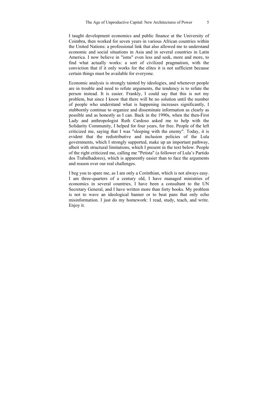I taught development economics and public finance at the University of Coimbra, then worked for seven years in various African countries within the United Nations: a professional link that also allowed me to understand economic and social situations in Asia and in several countries in Latin America. I now believe in "isms" even less and seek, more and more, to find what actually works: a sort of civilized pragmatism, with the conviction that if it only works for the elites it is not sufficient because certain things must be available for everyone.

Economic analysis is strongly tainted by ideologies, and whenever people are in trouble and need to refute arguments, the tendency is to refute the person instead. It is easier. Frankly, I could say that this is not my problem, but since I know that there will be no solution until the number of people who understand what is happening increases significantly, I stubbornly continue to organize and disseminate information as clearly as possible and as honestly as I can. Back in the 1990s, when the then-First Lady and anthropologist Ruth Cardoso asked me to help with the Solidarity Community, I helped for four years, for free. People of the left criticized me, saying that I was "sleeping with the enemy". Today, it is evident that the redistributive and inclusion policies of the Lula governments, which I strongly supported, make up an important pathway, albeit with structural limitations, which I present in the text below. People of the right criticized me, calling me "Petista" (a follower of Lula's Partido dos Trabalhadores), which is apparently easier than to face the arguments and reason over our real challenges.

I beg you to spare me, as I am only a Corinthian, which is not always easy. I am three-quarters of a century old, I have managed ministries of economics in several countries, I have been a consultant to the UN Secretary General, and I have written more than forty books. My problem is not to wave an ideological banner or to beat pans that only echo misinformation. I just do my homework: I read, study, teach, and write. Enjoy it.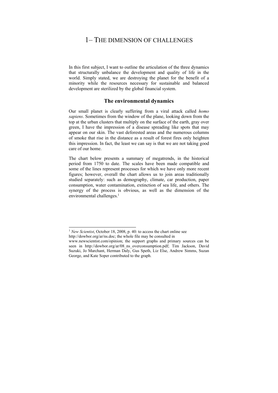## 1– THE DIMENSION OF CHALLENGES

In this first subject, I want to outline the articulation of the three dynamics that structurally unbalance the development and quality of life in the world. Simply stated, we are destroying the planet for the benefit of a minority while the resources necessary for sustainable and balanced development are sterilized by the global financial system.

## **The environmental dynamics**

Our small planet is clearly suffering from a viral attack called *homo sapiens*. Sometimes from the window of the plane, looking down from the top at the urban clusters that multiply on the surface of the earth, gray over green, I have the impression of a disease spreading like spots that may appear on our skin. The vast deforested areas and the numerous columns of smoke that rise in the distance as a result of forest fires only heighten this impression. In fact, the least we can say is that we are not taking good care of our home.

The chart below presents a summary of megatrends, in the historical period from 1750 to date. The scales have been made compatible and some of the lines represent processes for which we have only more recent figures; however, overall the chart allows us to join areas traditionally studied separately: such as demography, climate, car production, paper consumption, water contamination, extinction of sea life, and others. The synergy of the process is obvious, as well as the dimension of the environmental challenges.<sup>1</sup>

<sup>1</sup> *New Scientist*, October 18, 2008, p. 40: to access the chart online see

http://dowbor.org/ar/ns.doc; the whole file may be consulted in

www.newscientist.com/opinion; the support graphs and primary sources can be seen in http://dowbor.org/ar/08\_ns\_overconsumption.pdf; Tim Jackson, David Suzuki, Jo Marchant, Herman Daly, Gus Speth, Liz Else, Andrew Simms, Suzan George, and Kate Soper contributed to the graph.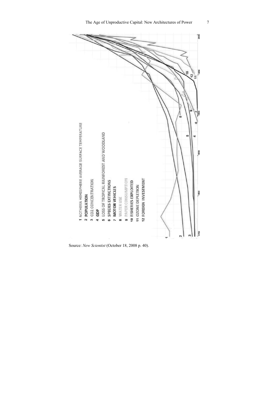

The Age of Unproductive Capital: New Architectures of Power 7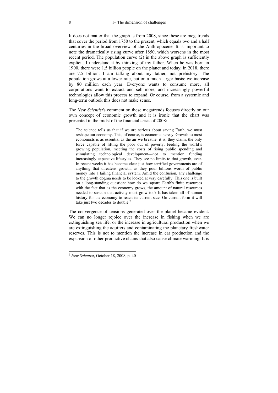It does not matter that the graph is from 2008, since these are megatrends that cover the period from  $1750$  to the present, which equals two and a half centuries in the broad overview of the Anthropocene. It is important to note the dramatically rising curve after 1850, which worsens in the most recent period. The population curve (2) in the above graph is sufficiently explicit. I understand it by thinking of my father. When he was born in 1900, there were 1.5 billion people on the planet and today, in 2018, there are 7.5 billion. I am talking about my father, not prehistory. The population grows at a lower rate, but on a much larger basis: we increase by 80 million each year. Everyone wants to consume more, all corporations want to extract and sell more, and increasingly powerful technologies allow this process to expand. Or course, from a systemic and long-term outlook this does not make sense.

The *New Scientist*'s comment on these megatrends focuses directly on our own concept of economic growth and it is ironic that the chart was presented in the midst of the financial crisis of 2008:

The science tells us that if we are serious about saving Earth, we must reshape our economy. This, of course, is economic heresy. Growth to most economists is as essential as the air we breathe: it is, they claim, the only force capable of lifting the poor out of poverty, feeding the world's growing population, meeting the costs of rising public spending and stimulating technological development––not to mention funding increasingly expensive lifestyles. They see no limits to that growth, ever. In recent weeks it has become clear just how terrified governments are of anything that threatens growth, as they pour billions worth of public money into a failing financial system. Amid the confusion, any challenge to the growth dogma needs to be looked at very carefully. This one is built on a long-standing question: how do we square Earth's finite resources with the fact that as the economy grows, the amount of natural resources needed to sustain that activity must grow too? It has taken all of human history for the economy to reach its current size. On current form it will take just two decades to double.<sup>2</sup>

The convergence of tensions generated over the planet became evident. We can no longer rejoice over the increase in fishing when we are extinguishing sea life, or the increase in agricultural production when we are extinguishing the aquifers and contaminating the planetary freshwater reserves. This is not to mention the increase in car production and the expansion of other productive chains that also cause climate warming. It is

 <sup>2</sup> *New Scientist*, October 18, 2008, p. 40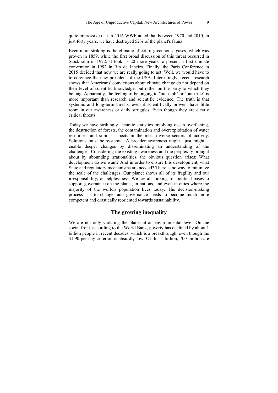quite impressive that in 2016 WWF noted that between 1970 and 2010, in just forty years, we have destroyed 52% of the planet's fauna.

Even more striking is the climatic effect of greenhouse gases, which was proven in 1859, while the first broad discussion of this threat occurred in Stockholm in 1972. It took us 20 more years to present a first climate convention in 1992 in Rio de Janeiro. Finally, the Paris Conference in 2015 decided that now we are really going to act. Well, we would have to to convince the new president of the USA. Interestingly, recent research shows that Americans' convictions about climate change do not depend on their level of scientific knowledge, but rather on the party to which they belong. Apparently, the feeling of belonging to "our club" or "our tribe" is more important than research and scientific evidence. The truth is that systemic and long-term threats, even if scientifically proven, have little room in our awareness or daily struggles. Even though they are clearly critical threats.

Today we have strikingly accurate statistics involving ocean overfishing, the destruction of forests, the contamination and overexploitation of water resources, and similar aspects in the most diverse sectors of activity. Solutions must be systemic. A broader awareness might---------------------------enable deeper changes by disseminating an understanding of the challenges. Considering the existing awareness and the perplexity brought about by abounding irrationalities, the obvious question arises: What development do we want? And in order to ensure this development, what State and regulatory mechanisms are needed? There is no way to minimize the scale of the challenges. Our planet shows all of its fragility and our irresponsibility, or helplessness. We are all looking for political bases to support governance on the planet, in nations, and even in cities where the majority of the world's population lives today. The decision-making process has to change, and governance needs to become much more competent and drastically reoriented towards sustainability.

### **The growing inequality**

We are not only violating the planet at an environmental level. On the social front, according to the World Bank, poverty has declined by about 1 billion people in recent decades, which is a breakthrough, even though the \$1.90 per day criterion is absurdly low. Of this 1 billion, 700 million are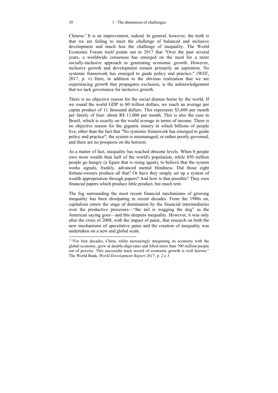Chinese.3 It is an improvement, indeed. In general, however, the truth is that we are failing to meet the challenge of balanced and inclusive development and much less the challenge of inequality. The World Economic Forum itself points out in 2017 that "Over the past several years, a worldwide consensus has emerged on the need for a more socially-inclusive approach to generating economic growth. However, inclusive growth and development remain primarily an aspiration. No systemic framework has emerged to guide policy and practice." (WEF, 2017, p. v) Here, in addition to the obvious realization that we are experiencing growth that propagates exclusion, is the acknowledgement that we lack governance for inclusive growth.

There is no objective reason for the social dramas borne by the world. If we round the world GDP to 80 trillion dollars, we reach an average per capita product of 11 thousand dollars. This represents \$3,600 per month per family of four: about R\$ 11,000 per month. This is also the case in Brazil, which is exactly on the world average in terms of income. There is no objective reason for the gigantic misery in which billions of people live, other than the fact that "No systemic framework has emerged to guide policy and practice"; the system is mismanaged, or rather poorly governed, and there are no prospects on the horizon.

As a matter of fact, inequality has reached obscene levels. When 8 people own more wealth than half of the world's population, while 850 million people go hungry (a figure that is rising again), to believe that the system works signals, frankly, advanced mental blindness. Did those eight fortune-owners produce all that? Or have they simply set up a system of wealth appropriation through papers? And how is that possible? They own financial papers which produce little product, but much rent.

The fog surrounding the most recent financial mechanisms of growing inequality has been dissipating in recent decades. From the 1980s on, capitalism enters the stage of domination by the financial intermediaries over the productive processes––"the tail is wagging the dog" as the American saying goes––and this deepens inequality. However, it was only after the crisis of 2008, with the impact of panic, that research on both the new mechanisms of speculative gains and the creation of inequality was undertaken on a new and global scale.

<sup>&</sup>lt;sup>3</sup> "For four decades, China, while increasingly integrating its economy with the global economy, grew at double-digit rates and lifted more than 700 million people out of poverty. This successful track record of economic growth is well known." The World Bank, *World Development Report 2017*, p. 2 e 3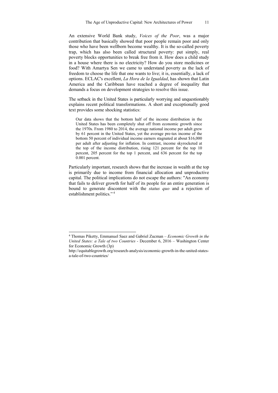An extensive World Bank study, *Voices of the Poor*, was a major contribution that basically showed that poor people remain poor and only those who have been wellborn become wealthy. It is the so-called poverty trap, which has also been called structural poverty: put simply, real poverty blocks opportunities to break free from it. How does a child study in a house where there is no electricity? How do you store medicines or food? With Amartya Sen we came to understand poverty as the lack of freedom to choose the life that one wants to live; it is, essentially, a lack of options. ECLAC's excellent, *La Hora de la Igualdad*, has shown that Latin America and the Caribbean have reached a degree of inequality that demands a focus on development strategies to resolve this issue.

The setback in the United States is particularly worrying and unquestionably explains recent political transformations. A short and exceptionally good text provides some shocking statistics:

Our data shows that the bottom half of the income distribution in the United States has been completely shut off from economic growth since the 1970s. From 1980 to 2014, the average national income per adult grew by 61 percent in the United States, yet the average pre-tax income of the bottom 50 percent of individual income earners stagnated at about \$16,000 per adult after adjusting for inflation. In contrast, income skyrocketed at the top of the income distribution, rising 121 percent for the top 10 percent, 205 percent for the top 1 percent, and 636 percent for the top 0.001 percent.

Particularly important, research shows that the increase in wealth at the top is primarily due to income from financial allocation and unproductive capital. The political implications do not escape the authors: "An economy that fails to deliver growth for half of its people for an entire generation is bound to generate discontent with the *status quo* and a rejection of establishment politics."<sup>4</sup>

 <sup>4</sup> Thomas Piketty, Emmanuel Saez and Gabriel Zucman – *Economic Growth in the United States: a Tale of two Countries -* December 6, 2016 – Washington Center for Economic Growth (3p)

http://equitablegrowth.org/research-analysis/economic-growth-in-the-united-statesa-tale-of-two-countries/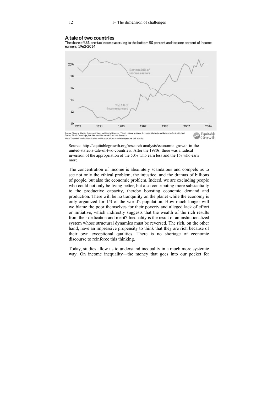#### A tale of two countries

The share of U.S. pre-tax income accruing to the bottom 50 percent and top one percent of income earners, 1962-2014



Source: http://equitablegrowth.org/research-analysis/economic-growth-in-theunited-states-a-tale-of-two-countries/. After the 1980s, there was a radical inversion of the appropriation of the 50% who earn less and the 1% who earn more.

The concentration of income is absolutely scandalous and compels us to see not only the ethical problem, the injustice, and the dramas of billions of people, but also the economic problem. Indeed, we are excluding people who could not only be living better, but also contributing more substantially to the productive capacity, thereby boosting economic demand and production. There will be no tranquility on the planet while the economy is only organized for 1/3 of the world's population. How much longer will we blame the poor themselves for their poverty and alleged lack of effort or initiative, which indirectly suggests that the wealth of the rich results from their dedication and merit? Inequality is the result of an institutionalized system whose structural dynamics must be reversed. The rich, on the other hand, have an impressive propensity to think that they are rich because of their own exceptional qualities. There is no shortage of economic discourse to reinforce this thinking.

Today, studies allow us to understand inequality in a much more systemic way. On income inequality––the money that goes into our pocket for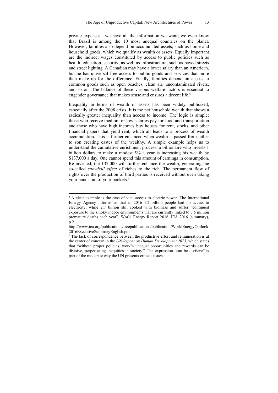private expenses––we have all the information we want; we even know that Brazil is among the 10 most unequal countries on the planet. However, families also depend on accumulated assets, such as home and household goods, which we qualify as wealth or assets. Equally important are the indirect wages constituted by access to public policies such as health, education, security, as well as infrastructure, such as paved streets and street lighting. A Canadian may have a lower salary than an American, but he has universal free access to public goods and services that more than make up for the difference. Finally, families depend on access to common goods such as open beaches, clean air, uncontaminated rivers, and so on. The balance of these various welfare factors is essential to engender governance that makes sense and ensures a decent life.<sup>5</sup>

Inequality in terms of wealth or assets has been widely publicized, especially after the 2008 crisis. It is the net household wealth that shows a radically greater inequality than access to income. The logic is simple: those who receive medium or low salaries pay for food and transportation and those who have high incomes buy houses for rent, stocks, and other financial papers that yield rent, which all leads to a process of wealth accumulation. This is further enhanced when wealth is passed from father to son creating castes of the wealthy. A simple example helps us to understand the cumulative enrichment process: a billionaire who invests 1 billion dollars to make a modest 5% a year is increasing his wealth by \$137,000 a day. One cannot spend this amount of earnings in consumption. Re-invested, the 137,000 will further enhance the wealth, generating the so-called *snowball effect* of riches to the rich. The permanent flow of rights over the production of third parties is received without even taking your hands out of your pockets.<sup>6</sup>

<sup>&</sup>lt;sup>5</sup> A clear example is the case of vital access to electric power. The International Energy Agency informs us that in 2016 1.2 billion people had no access to electricity, while 2.7 billion still cooked with biomass and suffer "continued exposure to the smoky indoor environments that are currently linked to 3.5 million premature deaths each year". World Energy Report 2016, IEA 2016 (summary), p.2

http://www.iea.org/publications/freepublications/publication/WorldEnergyOutlook 2016ExecutiveSummaryEnglish.pdf

<sup>&</sup>lt;sup>6</sup> The lack of correspondence between the productive effort and remuneration is at the center of concern in the *UN Report on Human Development 2015*, which states that "without proper policies, work's unequal opportunities and rewards can be divisive, perpetuating inequities in society." The expression "can be divisive" is part of the moderate way the UN presents critical issues.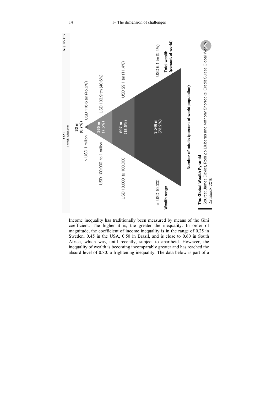

 Income inequality has traditionally been measured by means of the Gini coefficient. The higher it is, the greater the inequality. In order of magnitude, the coefficient of income inequality is in the range of 0.25 in Sweden, 0.45 in the USA, 0.50 in Brazil, and is close to 0.60 in South Africa, which was, until recently, subject to apartheid. However, the inequality of wealth is becoming incomparably greater and has reached the absurd level of 0.80: a frightening inequality. The data below is part of a

### 14 1– The dimension of challenges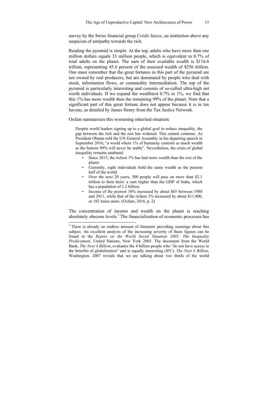survey by the Swiss financial group *Crédit Suisse*, an institution above any suspicion of antipathy towards the rich.

Reading the pyramid is simple. At the top, adults who have more than one million dollars equals 33 million people, which is equivalent to 0.7% of total adults on the planet. The sum of their available wealth is \$116.6 trillion, representing 45.6 percent of the assessed wealth of \$256 trillion. One must remember that the great fortunes in this part of the pyramid are not owned by real producers, but are dominated by people who deal with stock, information flows, or commodity intermediation. The top of the pyramid is particularly interesting and consists of so-called ultra-high net worth individuals. If we expand the wealthiest 0.7% to 1%, we find that this 1% has more wealth than the remaining 99% of the planet. Note that a significant part of this great fortune does not appear because it is in tax havens, as detailed by James Henry from the Tax Justice Network.

Oxfam summarizes this worsening inherited situation:

Despite world leaders signing up to a global goal to reduce inequality, the gap between the rich and the rest has widened. This cannot continue. As President Obama told the UN General Assembly in his departing speech in September 2016, "a world where 1% of humanity controls as much wealth as the bottom 99% will never be stable". Nevertheless, the crisis of global inequality remains unabated:

- Since 2015, the richest 1% has had more wealth than the rest of the planet.
- Currently, eight individuals hold the same wealth as the poorest half of the world.
- Over the next 20 years, 500 people will pass on more than \$2.1 trillion to their heirs: a sum higher than the GDP of India, which has a population of 1.2 billion.
- Income of the poorest 10% increased by about \$65 between 1988 and 2011, while that of the richest 1% increased by about \$11,800, or 182 times more. (Oxfam, 2016, p. 2)

The concentration of income and wealth on the planet is reaching absolutely obscene levels.<sup>7</sup> The financialization of economic processes has

<sup>&</sup>lt;sup>7</sup> There is already an endless amount of literature providing warnings about this subject. An excellent analysis of the increasing severity of these figures can be found in the *Report on the World Social Situation 2005: The Inequality Predicament,* United Nations, New York 2005. The document from the World Bank, *The Next 4 Billion*, evaluates the 4 billion people who "do not have access to the benefits of globalization" and is equally interesting (IFC). *The Next 4 Billion*, Washington, 2007 reveals that we are talking about two thirds of the world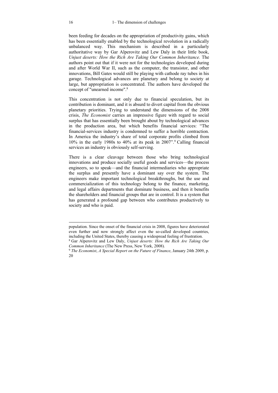been feeding for decades on the appropriation of productivity gains, which has been essentially enabled by the technological revolution in a radically unbalanced way. This mechanism is described in a particularly authoritative way by Gar Alperovitz and Lew Daly in their little book, *Unjust deserts: How the Rich Are Taking Our Common Inheritance.* The authors point out that if it were not for the technologies developed during and after World War II, such as the computer, the transistor, and other innovations, Bill Gates would still be playing with cathode ray tubes in his garage. Technological advances are planetary and belong to society at large, but appropriation is concentrated. The authors have developed the concept of "unearned income".<sup>8</sup>

This concentration is not only due to financial speculation, but its contribution is dominant, and it is absurd to divert capital from the obvious planetary priorities. Trying to understand the dimensions of the 2008 crisis, *The Economist* carries an impressive figure with regard to social surplus that has essentially been brought about by technological advances in the production area, but which benefits financial services: "The financial-services industry is condemned to suffer a horrible contraction. In America the industry's share of total corporate profits climbed from 10% in the early 1980s to 40% at its peak in 2007".9 Calling financial services an industry is obviously self-serving.

There is a clear cleavage between those who bring technological innovations and produce socially useful goods and services––the process engineers, so to speak––and the financial intermediaries who appropriate the surplus and presently have a dominant say over the system. The engineers make important technological breakthroughs, but the use and commercialization of this technology belong to the finance, marketing, and legal affairs departments that dominate business, and then it benefits the shareholders and financial groups that are in control. It is a system that has generated a profound gap between who contributes productively to society and who is paid.

j

population. Since the onset of the financial crisis in 2008, figures have deteriorated even further and now strongly affect even the so-called developed countries,

including the United States, thereby causing a widespread feeling of frustration.<br><sup>8</sup> Gar Alperovitz and Lew Daly, *Unjust deserts: How the Rich Are Taking Our Common Inheritance* (The New Press, New York, 2008).

<sup>&</sup>lt;sup>9</sup> The Economist, *A Special Report on the Future of Finance*, January 24th 2009, p. 20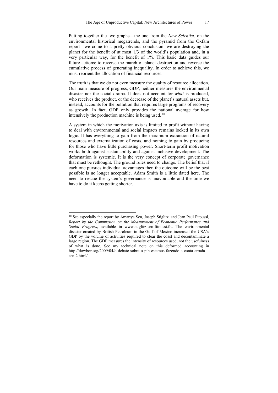Putting together the two graphs––the one from the *New Scientist*, on the environmental historical megatrends, and the pyramid from the Oxfam report––we come to a pretty obvious conclusion: we are destroying the planet for the benefit of at most 1/3 of the world's population and, in a very particular way, for the benefit of 1%. This basic data guides our future actions: to reverse the march of planet destruction and reverse the cumulative process of generating inequality. In order to achieve this, we must reorient the allocation of financial resources.

The truth is that we do not even measure the quality of resource allocation. Our main measure of progress, GDP, neither measures the environmental disaster nor the social drama. It does not account for *what* is produced, who receives the product, or the decrease of the planet's natural assets but, instead, accounts for the pollution that requires large programs of recovery as growth. In fact, GDP only provides the national average for how intensively the production machine is being used. 10

A system in which the motivation axis is limited to profit without having to deal with environmental and social impacts remains locked in its own logic. It has everything to gain from the maximum extraction of natural resources and externalization of costs, and nothing to gain by producing for those who have little purchasing power. Short-term profit motivation works both against sustainability and against inclusive development. The deformation is systemic. It is the very concept of corporate governance that must be rethought. The ground rules need to change. The belief that if each one pursues individual advantages then the outcome will be the best possible is no longer acceptable. Adam Smith is a little dated here. The need to rescue the system's governance is unavoidable and the time we have to do it keeps getting shorter.

<sup>&</sup>lt;sup>10</sup> See especially the report by Amartya Sen, Joseph Stiglitz, and Jean Paul Fitoussi, *Report by the Commission on the Measurement of Economic Performance and Social Progress*, available in www.stiglitz-sen-fitoussi.fr.. The environmental disaster created by British Petroleum in the Gulf of Mexico increased the USA's GDP by the volume of activities required to clear the coast and decontaminate a large region. The GDP measures the intensity of resources used, not the usefulness of what is done. See my technical note on this deformed accounting in http://dowbor.org/2009/04/o-debate-sobre-o-pib-estamos-fazendo-a-conta-erradaabr-2.html/.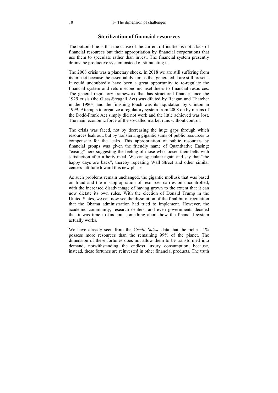### **Sterilization of financial resources**

The bottom line is that the cause of the current difficulties is not a lack of financial resources but their appropriation by financial corporations that use them to speculate rather than invest. The financial system presently drains the productive system instead of stimulating it.

The 2008 crisis was a planetary shock. In 2018 we are still suffering from its impact because the essential dynamics that generated it are still present. It could undoubtedly have been a great opportunity to re-regulate the financial system and return economic usefulness to financial resources. The general regulatory framework that has structured finance since the 1929 crisis (the Glass-Steagall Act) was diluted by Reagan and Thatcher in the 1980s, and the finishing touch was its liquidation by Clinton in 1999. Attempts to organize a regulatory system from 2008 on by means of the Dodd-Frank Act simply did not work and the little achieved was lost. The main economic force of the so-called market runs without control.

The crisis was faced, not by decreasing the huge gaps through which resources leak out, but by transferring gigantic sums of public resources to compensate for the leaks. This appropriation of public resources by financial groups was given the friendly name of Quantitative Easing: "easing" here suggesting the feeling of those who loosen their belts with satisfaction after a hefty meal. We can speculate again and say that "the happy days are back", thereby repeating Wall Street and other similar centers' attitude toward this new phase.

As such problems remain unchanged, the gigantic mollusk that was based on fraud and the misappropriation of resources carries on uncontrolled, with the increased disadvantage of having grown to the extent that it can now dictate its own rules. With the election of Donald Trump in the United States, we can now see the dissolution of the final bit of regulation that the Obama administration had tried to implement. However, the academic community, research centers, and even governments decided that it was time to find out something about how the financial system actually works.

We have already seen from the *Crédit Suisse* data that the richest 1% possess more resources than the remaining 99% of the planet. The dimension of these fortunes does not allow them to be transformed into demand, notwithstanding the endless luxury consumption, because, instead, these fortunes are reinvested in other financial products. The truth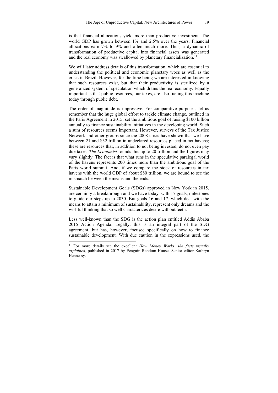is that financial allocations yield more than productive investment. The world GDP has grown between 1% and 2.5% over the years. Financial allocations earn 7% to 9% and often much more. Thus, a dynamic of transformation of productive capital into financial assets was generated and the real economy was swallowed by planetary financialization.<sup>11</sup>

We will later address details of this transformation, which are essential to understanding the political and economic planetary woes as well as the crisis in Brazil. However, for the time being we are interested in knowing that such resources exist, but that their productivity is sterilized by a generalized system of speculation which drains the real economy. Equally important is that public resources, our taxes, are also fueling this machine today through public debt.

The order of magnitude is impressive. For comparative purposes, let us remember that the huge global effort to tackle climate change, outlined in the Paris Agreement in 2015, set the ambitious goal of raising \$100 billion annually to finance sustainability initiatives in the developing world. Such a sum of resources seems important. However, surveys of the Tax Justice Network and other groups since the 2008 crisis have shown that we have between 21 and \$32 trillion in undeclared resources placed in tax havens; these are resources that, in addition to not being invested, do not even pay due taxes. *The Economist* rounds this up to 20 trillion and the figures may vary slightly. The fact is that what runs in the speculative paralegal world of the havens represents 200 times more than the ambitious goal of the Paris world summit. And, if we compare the stock of resources in tax havens with the world GDP of about \$80 trillion, we are bound to see the mismatch between the means and the ends.

Sustainable Development Goals (SDGs) approved in New York in 2015, are certainly a breakthrough and we have today, with 17 goals, milestones to guide our steps up to 2030. But goals 16 and 17, which deal with the means to attain a minimum of sustainability, represent only dreams and the wishful thinking that so well characterizes desire without teeth.

Less well-known than the SDG is the action plan entitled Addis Ababa 2015 Action Agenda. Legally, this is an integral part of the SDG agreement, but has, however, focused specifically on how to finance sustainable development. With due caution in the expressions used, the

 <sup>11</sup> For more details see the excellent *How Money Works: the facts visually explained,* published in 2017 by Penguin Random House. Senior editor Kathryn Hennessy.